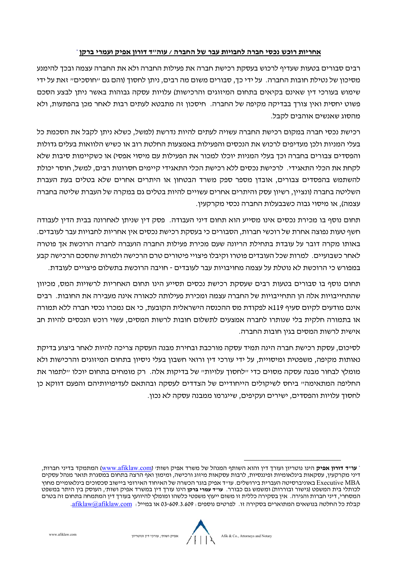## **אחריות רוכש כסי חברה לחבויות עבר של החברה / עוה"ד דורון אפיק ועמרי ברקן** \*

רבים סבורים בטעות שעדיף לרכוש בעסקת רכישת חברה את פעילות החברה ולא את החברה עצמה ובכך להימע מסיכון של טילת חובות החברה. על ידי כך, סבורים משום מה רבים, יתן לחסוך (והם גם "חוסכים" זאת על ידי שימוש בעורכי דין שאים בקיאים בתחום המיזוגים והרכישות) עלויות עסקה גבוהות באשר יתן לבצע הסכם פשוט יחסית ואין צורך בבדיקה מקיפה של החברה. חיסכון זה מתבטא לעתים רבות לאחר מכן בהפתעות, ולא מהסוג שאשים אוהבים לקבל.

רכישת כסי חברה במקום רכישת החברה עשויה לעתים להיות דרשת (למשל, כשלא יתן לקבל את הסכמת כל בעלי המיות ולכן מעדיפים לרכוש את הכסים והפעילות באמצעות החלטת רוב או כשיש הלוואות בעלים גדולות והפסדים צבורים בחברה וכך בעלי המיות יוכלו למכור את הפעילות עם מיסוי אפסי) או כשקיימות סיבות שלא לקחת את הכלי התאגידי. לרכישת כסים ללא רכישת הכלי התאגידי קיימים חסרוות רבים, למשל, חוסר יכולת להשתמש בהפסדים צבורים, אובדן מספר ספק משרד הבטחון או היתרים אחרים שלא בטלים בעת העברת השליטה בחברה (וציין, רשיון עסק והיתרים אחרים עשויים להיות בטלים גם במקרה של העברת שליטה בחברה עצמה), או מיסוי גבוה כשבבעלות החברה כסי מקרקעין.

תחום וסף בו מכירת כסים איו מסייע הוא תחום דיי העבודה. פסק דין שיתן לאחרוה בבית הדין לעבודה חשף טעות פוצה אחרת של רוכשי חברות, הסבורים כי בעסקת רכישת כסים אין אחריות לחבויות עבר לעובדים. באותו מקרה דובר על עובדת בתחילת הריוה שעם מכירת פעילות החברה הועברה לחברה הרוכשת אך פוטרה לאחר כשבועיים. למרות שכל העובדים פוטרו וקיבלו פיצויי פיטורים טרם הרכישה ולמרות שהסכם הרכישה קבע במפורש כי הרוכשת לא וטלת על עצמה מחויבויות עבר לעובדים - חויבה הרוכשת בתשלום פיצויים לעובדת.

תחום וסף בו סבורים בטעות רבים שעסקת רכישת כסים תסייע היו תחום האחריות לרשויות המס, מכיוון שהתחייבויות אלה הן התחייבויות של החברה עצמה ומכירת פעילותה לכאורה איה מעבירה את החובות. רבים אים מודעים לקיום סעיף 119א לפקודת מס ההכסה הישראלית הקובעת, כי אם מכרו כסי חברה ללא תמורה או בתמורה חלקית בלי שותרו לחברה אמצעים לתשלום חובות לרשות המסים, עשוי רוכש הכסים להיות חב אישית לרשות המסים בגין חובות החברה.

לסיכום, עסקת רכישת חברה היה תמיד עסקה מורכבת ובחירת מבה העסקה צריכה להיות לאחר ביצוע בדיקת אותות מקיפה, משפטית ומיסויית, על ידי עורכי דין ורואי חשבון בעלי יסיון בתחום המיזוגים והרכישות ולא מומלץ לבחור מבה עסקה מסוים כדי "לחסוך עלויות" של בדיקות אלה. רק מומחים בתחום יוכלו "לתפור את החליפה המתאימה" ביחס לשיקולים הייחודיים של הצדדים לעסקה ובהתאם לעדיפויותיהם והפעם דווקא כן לחסוך עלויות והפסדים, ישירים ועקיפים, שייגרמו ממבה עסקה לא כון.

**עו"<sup>ד</sup> דורון אפיק** היו וטריון ועורך דין והוא השותף המהל של משרד אפיק ושות' (com.afiklaw.www (המתמקד בדיי חברות, \* דיני מקרקעין, עסקאות בינלאומיות ופיננסיות, לרבות עסקאות מיזוג ורכישה, ומימון ואף הרצה בתחום במסגרת תואר מנהל עסקים MBA Executive באויברסיטה העברית בירושלים. עו"ד אפיק בוגר הכשרה של האיחוד האירופי ביישוב סכסוכים בילאומיים מחוץ לכותלי בית המשפט (גישור ובוררות) ומשמש גם כבורר. **עו"ד עמרי ברקן** היו עורך דין במשרד אפיק ושות', העוסק בין היתר במשפט המסחרי, דיי חברות והגירה. אין בסקירה כללית זו משום ייעוץ משפטי כלשהו ומומלץ להיוועץ בעורך דין המתמחה בתחום זה בטרם קבלת כל החלטה בושאים המתוארים בסקירה זו. לפרטים וספים: 03-609.3.609 או במייל: com.afiklaw@afiklaw.